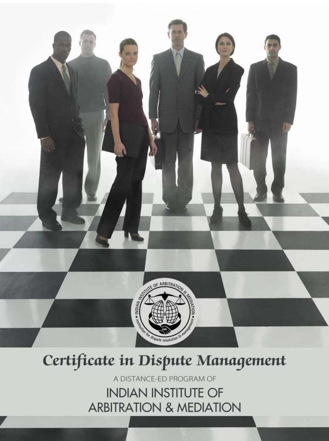

# Certificate in Dispute Management

A DISTANCE-ED PROGRAM OF **INDIAN INSTITUTE OF ARBITRATION & MEDIATION**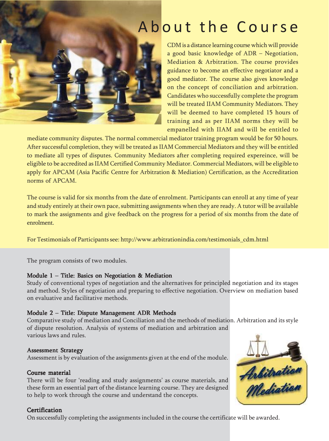## A b o ut the Course



CDM is a distance learning course which will provide a good basic knowledge of ADR – Negotiation, Mediation & Arbitration. The course provides guidance to become an effective negotiator and a good mediator. The course also gives knowledge on the concept of conciliation and arbitration. Candidates who successfully complete the program will be treated IIAM Community Mediators. They will be deemed to have completed 15 hours of training and as per IIAM norms they will be empanelled with IIAM and will be entitled to

mediate community disputes. The normal commercial mediator training program would be for 50 hours. After successful completion, they will be treated as IIAM Commercial Mediators and they will be entitled to mediate all types of disputes. Community Mediators after completing required expereince, will be eligible to be accredited as IIAM Certified Community Mediator. Commercial Mediators, will be eligible to apply for APCAM (Asia Pacific Centre for Arbitration & Mediation) Certification, as the Accreditation norms of APCAM.

The course is valid for six months from the date of enrolment. Participants can enroll at any time of year and study entirely at their own pace, submitting assignments when they are ready. A tutor will be available to mark the assignments and give feedback on the progress for a period of six months from the date of enrolment.

For Testimonials of Participants see: http://www.arbitrationindia.com/testimonials\_cdm.html

The program consists of two modules.

## Module 1 – Title: Basics on Negotiation & Mediation

Study of conventional types of negotiation and the alternatives for principled negotiation and its stages and method. Styles of negotiation and preparing to effective negotiation. Overview on mediation based on evaluative and facilitative methods.

## Module 2 – Title: Dispute Management ADR Methods

Comparative study of mediation and Conciliation and the methods of mediation. Arbitration and its style of dispute resolution. Analysis of systems of mediation and arbitration and various laws and rules.

## Assessment Strategy

Assessment is by evaluation of the assignments given at the end of the module.

## Course material

There will be four 'reading and study assignments' as course materials, and these form an essential part of the distance learning course. They are designed to help to work through the course and understand the concepts.

## **Certification**

On successfully completing the assignments included in the course the certificate will be awarded.

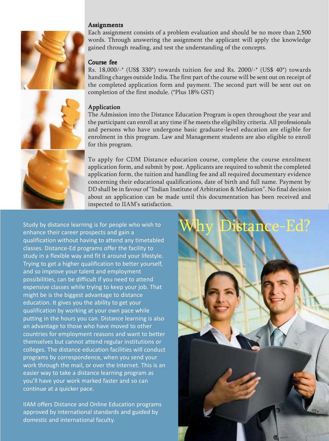#### **Assignments**



Each assignment consists of a problem evaluation and should be no more than 2,500 words. Through answering the assignment the applicant will apply the knowledge gained through reading, and test the understanding of the concepts.

#### Course fee

Rs. 18,000/-\* (US\$ 330\*) towards tuition fee and Rs. 2000/-\* (US\$ 40\*) towards handling charges outside India. The first part of the course will be sent out on receipt of the completed application form and payment. The second part will be sent out on completion of the first module. (\*Plus 18% GST)



The Admission into the Distance Education Program is open throughout the year and the participant can enroll at any time if he meets the eligibility criteria. All professionals and persons who have undergone basic graduate-level education are eligible for enrolment in this program. Law and Management students are also eligible to enroll for this program.

To apply for CDM Distance education course, complete the course enrolment application form, and submit by post. Applicants are required to submit the completed application form, the tuition and handling fee and all required documentary evidence concerning their educational qualifications, date of birth and full name. Payment by DD shall be in favour of "Indian Institute of Arbitration & Mediation". No final decision about an application can be made until this documentation has been received and inspected to IIAM's satisfaction.

Study by distance learning is for people who wish to enhance their career prospects and gain a qualification without having to attend any timetabled classes. Distance-Ed programs offer the facility to study in a flexible way and fit it around your lifestyle. Trying to get a higher qualification to better yourself, and so improve your talent and employment possibilities, can be difficult if you need to attend expensive classes while trying to keep your job. That might be is the biggest advantage to distance education. It gives you the ability to get your qualification by working at your own pace while putting in the hours you can. Distance learning is also an advantage to those who have moved to other countries for employment reasons and want to better themselves but cannot attend regular institutions or colleges. The distance education facilities will conduct programs by correspondence, when you send your work through the mail, or over the Internet. This is an easier way to take a distance learning program as you'll have your work marked faster and so can continue at a quicker pace.

IIAM offers Distance and Online Education programs approved by international standards and guided by domestic and international faculty.



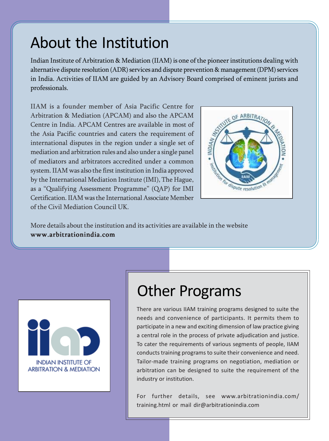## About the Institution

Indian Institute of Arbitration & Mediation (IIAM) is one of the pioneer institutions dealing with alternative dispute resolution (ADR) services and dispute prevention & management (DPM) services in India. Activities of IIAM are guided by an Advisory Board comprised of eminent jurists and professionals.

IIAM is a founder member of Asia Pacific Centre for Arbitration & Mediation (APCAM) and also the APCAM Centre in India. APCAM Centres are available in most of the Asia Pacific countries and caters the requirement of international disputes in the region under a single set of mediation and arbitration rules and also under a single panel of mediators and arbitrators accredited under a common system. IIAM was also the first institution in India approved by the International Mediation Institute (IMI), The Hague, as a "Qualifying Assessment Programme" (QAP) for IMI Certification. IIAM was the International Associate Member of the Civil Mediation Council UK.



More details about the institution and its activities are available in the website www.arbitrationindia.com



# Other Programs

There are various IIAM training programs designed to suite the needs and convenience of participants. It permits them to participate in a new and exciting dimension of law practice giving a central role in the process of private adjudication and justice. To cater the requirements of various segments of people, IIAM conducts training programs to suite their convenience and need. Tailor-made training programs on negotiation, mediation or arbitration can be designed to suite the requirement of the industry or institution.

For further details, see www.arbitrationindia.com/ training.html or mail dir@arbitrationindia.com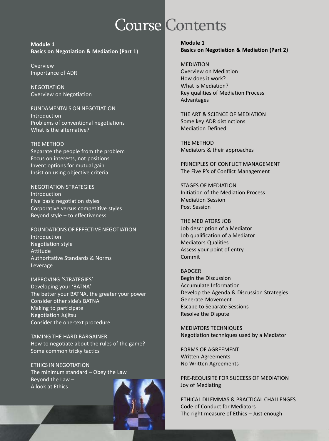# Course Contents

**Module 1 Basics on Negotiation & Mediation (Part 1)**

Overview Importance of ADR

**NEGOTIATION** Overview on Negotiation

FUNDAMENTALS ON NEGOTIATION Introduction Problems of conventional negotiations What is the alternative?

THE METHOD Separate the people from the problem Focus on interests, not positions Invent options for mutual gain Insist on using objective criteria

NEGOTIATION STRATEGIES Introduction Five basic negotiation styles Corporative versus competitive styles Beyond style – to effectiveness

FOUNDATIONS OF EFFECTIVE NEGOTIATION Introduction Negotiation style Attitude Authoritative Standards & Norms Leverage

IMPROVING 'STRATEGIES' Developing your 'BATNA' The better your BATNA, the greater your power Consider other side's BATNA Making to participate Negotiation Jujitsu Consider the one-text procedure

TAMING THE HARD BARGAINER How to negotiate about the rules of the game? Some common tricky tactics

ETHICS IN NEGOTIATION The minimum standard – Obey the Law Beyond the Law – A look at Ethics



**Module 1 Basics on Negotiation & Mediation (Part 2)**

MEDIATION Overview on Mediation How does it work? What is Mediation? Key qualities of Mediation Process Advantages

THE ART & SCIENCE OF MEDIATION Some key ADR distinctions Mediation Defined

THE METHOD Mediators & their approaches

PRINCIPLES OF CONFLICT MANAGEMENT The Five P's of Conflict Management

STAGES OF MEDIATION Initiation of the Mediation Process Mediation Session Post Session

THE MEDIATORS JOB Job description of a Mediator Job qualification of a Mediator Mediators Qualities Assess your point of entry Commit

BADGER Begin the Discussion Accumulate Information Develop the Agenda & Discussion Strategies Generate Movement Escape to Separate Sessions Resolve the Dispute

MEDIATORS TECHNIQUES Negotiation techniques used by a Mediator

FORMS OF AGREEMENT Written Agreements No Written Agreements

PRE-REQUISITE FOR SUCCESS OF MEDIATION Joy of Mediating

ETHICAL DILEMMAS & PRACTICAL CHALLENGES Code of Conduct for Mediators The right measure of Ethics – Just enough